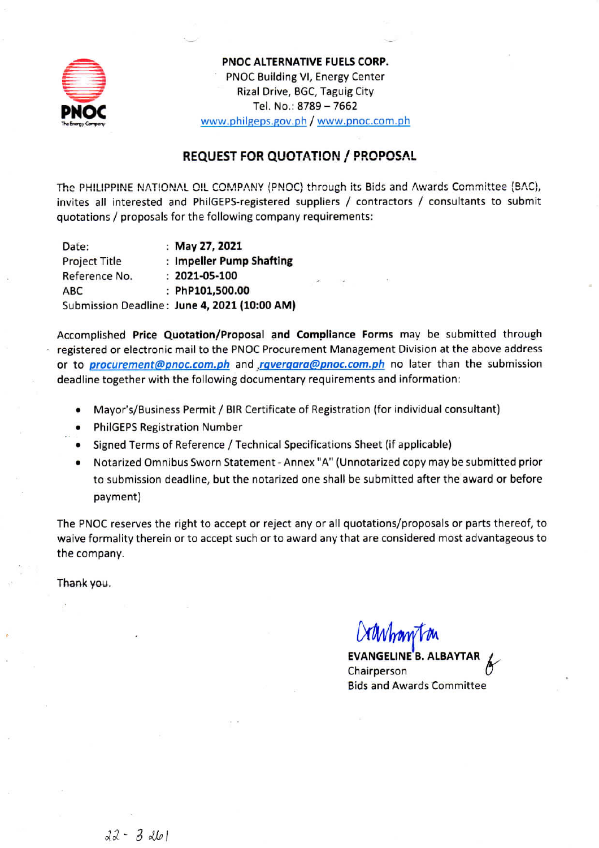

PNOC ALTERNATIVE FUELS CORP. PNOC Building VI, Energy Center Rizal Drive, BGC, Taguig City Tel. No.: 8789 - 7662 www.philgeps.gov.ph / www.pnoc.com.ph

## **REQUEST FOR QUOTATION / PROPOSAL**

The PHILIPPINE NATIONAL OIL COMPANY (PNOC) through its Bids and Awards Committee (BAC), invites all interested and PhilGEPS-registered suppliers / contractors / consultants to submit quotations / proposals for the following company requirements:

Date: : May 27, 2021 **Project Title** : Impeller Pump Shafting Reference No.  $: 2021 - 05 - 100$ ABC : PhP101,500.00 Submission Deadline: June 4, 2021 (10:00 AM)

Accomplished Price Quotation/Proposal and Compliance Forms may be submitted through registered or electronic mail to the PNOC Procurement Management Division at the above address or to *procurement@pnoc.com.ph* and *rgvergara@pnoc.com.ph* no later than the submission deadline together with the following documentary requirements and information:

- Mayor's/Business Permit / BIR Certificate of Registration (for individual consultant)
- **PhilGEPS Registration Number**
- Signed Terms of Reference / Technical Specifications Sheet (if applicable)
- Notarized Omnibus Sworn Statement Annex "A" (Unnotarized copy may be submitted prior to submission deadline, but the notarized one shall be submitted after the award or before payment)

The PNOC reserves the right to accept or reject any or all quotations/proposals or parts thereof, to waive formality therein or to accept such or to award any that are considered most advantageous to the company.

Thank you.

Chairperson **Bids and Awards Committee**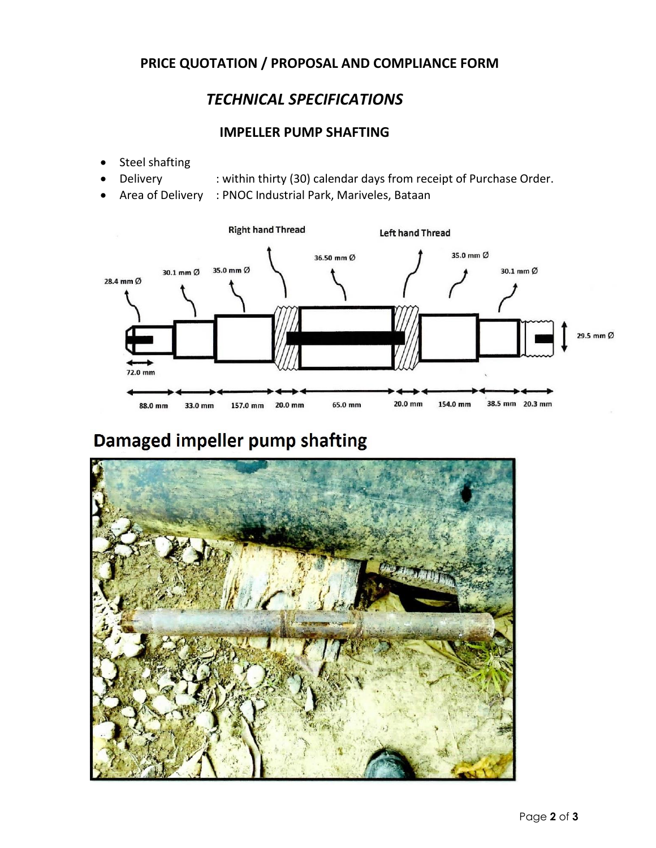## **PRICE QUOTATION / PROPOSAL AND COMPLIANCE FORM**

# *TECHNICAL SPECIFICATIONS*

### **IMPELLER PUMP SHAFTING**

- Steel shafting
- Delivery : within thirty (30) calendar days from receipt of Purchase Order.
	- Area of Delivery : PNOC Industrial Park, Mariveles, Bataan



# Damaged impeller pump shafting